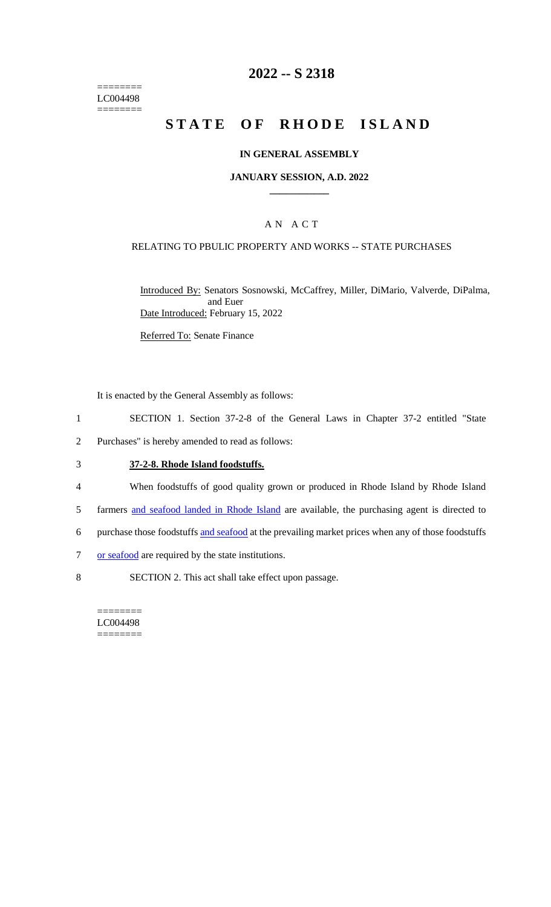$=$ LC004498  $=$ 

## **2022 -- S 2318**

# **STATE OF RHODE ISLAND**

### **IN GENERAL ASSEMBLY**

#### **JANUARY SESSION, A.D. 2022 \_\_\_\_\_\_\_\_\_\_\_\_**

## A N A C T

### RELATING TO PBULIC PROPERTY AND WORKS -- STATE PURCHASES

Introduced By: Senators Sosnowski, McCaffrey, Miller, DiMario, Valverde, DiPalma, and Euer Date Introduced: February 15, 2022

Referred To: Senate Finance

It is enacted by the General Assembly as follows:

- 1 SECTION 1. Section 37-2-8 of the General Laws in Chapter 37-2 entitled "State
- 2 Purchases" is hereby amended to read as follows:

## 3 **37-2-8. Rhode Island foodstuffs.**

- 4 When foodstuffs of good quality grown or produced in Rhode Island by Rhode Island
- 5 farmers and seafood landed in Rhode Island are available, the purchasing agent is directed to
- 6 purchase those foodstuffs and seafood at the prevailing market prices when any of those foodstuffs
- 7 or seafood are required by the state institutions.
- 8 SECTION 2. This act shall take effect upon passage.

======== LC004498 ========